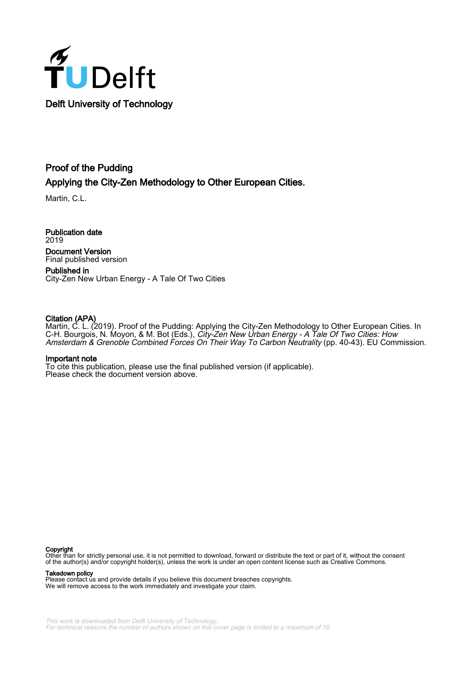

## Proof of the Pudding Applying the City-Zen Methodology to Other European Cities.

Martin, C.L.

Publication date 2019 Document Version Final published version

Published in City-Zen New Urban Energy - A Tale Of Two Cities

### Citation (APA)

Martin, C. L. (2019). Proof of the Pudding: Applying the City-Zen Methodology to Other European Cities. In C-H. Bourgois, N. Moyon, & M. Bot (Eds.), City-Zen New Urban Energy - A Tale Of Two Cities: How Amsterdam & Grenoble Combined Forces On Their Way To Carbon Neutrality (pp. 40-43). EU Commission.

#### Important note

To cite this publication, please use the final published version (if applicable). Please check the document version above.

#### Copyright

Other than for strictly personal use, it is not permitted to download, forward or distribute the text or part of it, without the consent of the author(s) and/or copyright holder(s), unless the work is under an open content license such as Creative Commons.

Takedown policy

Please contact us and provide details if you believe this document breaches copyrights. We will remove access to the work immediately and investigate your claim.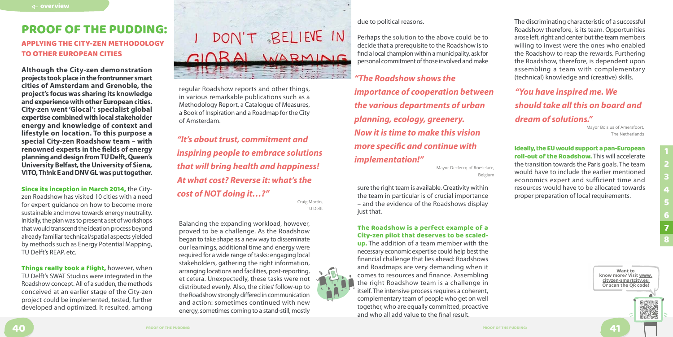

**Although the City-zen demonstration projects took place in the frontrunner smart cities of Amsterdam and Grenoble, the project's focus was sharing its knowledge and experience with other European cities. City-zen went 'Glocal': specialist global expertise combined with local stakeholder energy and knowledge of context and lifestyle on location. To this purpose a special City-zen Roadshow team – with renowned experts in the fields of energy planning and design from TU Delft, Queen's University Belfast, the University of Siena, VITO, Th!nk E and DNV GL was put together.**

Things really took a flight, however, when TU Delft's SWAT Studios were integrated in the Roadshow concept. All of a sudden, the methods conceived at an earlier stage of the City-zen project could be implemented, tested, further developed and optimized. It resulted, among

# DON'T BELIEVE IN GIORAL WARMING

Since its inception in March 2014, the Cityzen Roadshow has visited 10 cities with a need for expert guidance on how to become more sustainable and move towards energy neutrality. Initially, the plan was to present a set of workshops that would transcend the ideation process beyond already familiar technical/spatial aspects yielded by methods such as Energy Potential Mapping, TU Delft's REAP, etc.

due to political reasons.

Perhaps the solution to the above could be to decide that a prerequisite to the Roadshow is to find a local champion within a municipality, ask for personal commitment of those involved and make

sure the right team is available. Creativity within the team in particular is of crucial importance – and the evidence of the Roadshows display just that.

## The Roadshow is a perfect example of a City-zen pilot that deserves to be scaled-

up. The addition of a team member with the necessary economic expertise could help best the financial challenge that lies ahead: Roadshows and Roadmaps are very demanding when it comes to resources and finance. Assembling the right Roadshow team is a challenge in itself. The intensive process requires a coherent, complementary team of people who get on well together, who are equally committed, proactive and who all add value to the final result.

# <span id="page-1-0"></span>PROOF OF THE PUDDING:

## APPLYING THE CITY-ZEN METHODOLOGY TO OTHER EUROPEAN CITIES

regular Roadshow reports and other things, in various remarkable publications such as a Methodology Report, a Catalogue of Measures, a Book of Inspiration and a Roadmap for the City of Amsterdam.

Balancing the expanding workload, however, proved to be a challenge. As the Roadshow began to take shape as a new way to disseminate our learnings, additional time and energy were required for a wide range of tasks: engaging local stakeholders, gathering the right information, arranging locations and facilities, post-reporting, et cetera. Unexpectedly, these tasks were not distributed evenly. Also, the cities' follow-up to the Roadshow strongly differed in communication and action: sometimes continued with new energy, sometimes coming to a stand-still, mostly

*"The Roadshow shows the importance of cooperation between the various departments of urban planning, ecology, greenery. Now it is time to make this vision more specific and continue with implementation!"*

Mayor Declercq of Roeselare, Belgium

*"It's about trust, commitment and inspiring people to embrace solutions that will bring health and happiness! At what cost? Reverse it: what's the cost of NOT doing it…?"*

Craig Martin, TU Delft

# *"You have inspired me. We should take all this on board and dream of solutions."*

Mayor Bolsius of Amersfoort, The Netherlands

The discriminating characteristic of a successful Roadshow therefore, is its team. Opportunities arose left, right and center but the team members willing to invest were the ones who enabled the Roadshow to reap the rewards. Furthering the Roadshow, therefore, is dependent upon assembling a team with complementary (technical) knowledge and (creative) skills.

Ideally, the EU would support a pan-European roll-out of the Roadshow. This will accelerate the transition towards the Paris goals. The team would have to include the earlier mentioned economics expert and sufficient time and resources would have to be allocated towards proper preparation of local requirements.